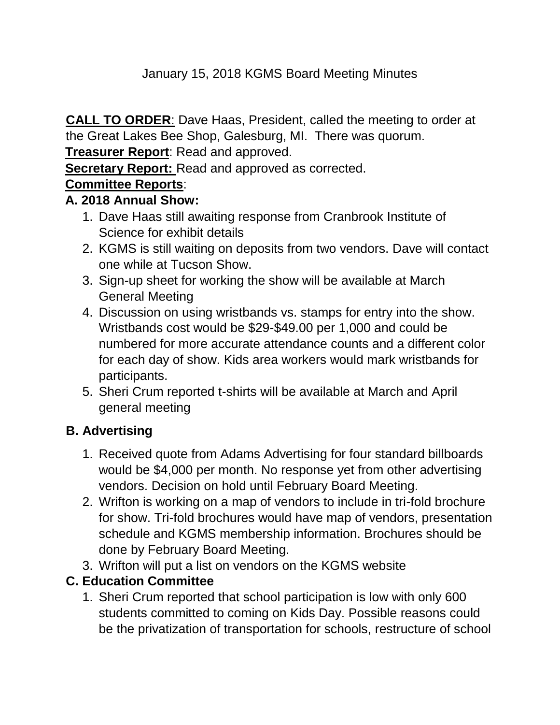## January 15, 2018 KGMS Board Meeting Minutes

**CALL TO ORDER**: Dave Haas, President, called the meeting to order at the Great Lakes Bee Shop, Galesburg, MI. There was quorum.

**Treasurer Report**: Read and approved.

**Secretary Report:** Read and approved as corrected.

# **Committee Reports**:

### **A. 2018 Annual Show:**

- 1. Dave Haas still awaiting response from Cranbrook Institute of Science for exhibit details
- 2. KGMS is still waiting on deposits from two vendors. Dave will contact one while at Tucson Show.
- 3. Sign-up sheet for working the show will be available at March General Meeting
- 4. Discussion on using wristbands vs. stamps for entry into the show. Wristbands cost would be \$29-\$49.00 per 1,000 and could be numbered for more accurate attendance counts and a different color for each day of show. Kids area workers would mark wristbands for participants.
- 5. Sheri Crum reported t-shirts will be available at March and April general meeting

### **B. Advertising**

- 1. Received quote from Adams Advertising for four standard billboards would be \$4,000 per month. No response yet from other advertising vendors. Decision on hold until February Board Meeting.
- 2. Wrifton is working on a map of vendors to include in tri-fold brochure for show. Tri-fold brochures would have map of vendors, presentation schedule and KGMS membership information. Brochures should be done by February Board Meeting.
- 3. Wrifton will put a list on vendors on the KGMS website

# **C. Education Committee**

1. Sheri Crum reported that school participation is low with only 600 students committed to coming on Kids Day. Possible reasons could be the privatization of transportation for schools, restructure of school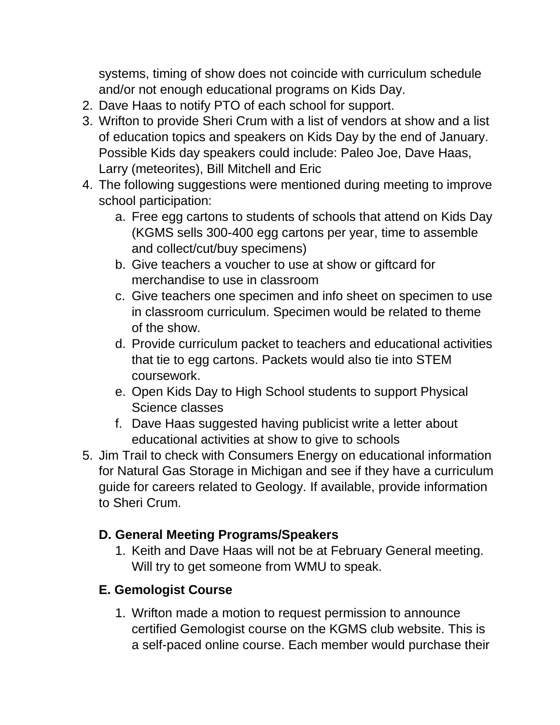systems, timing of show does not coincide with curriculum schedule and/or not enough educational programs on Kids Day.

- 2. Dave Haas to notify PTO of each school for support.
- 3. Wrifton to provide Sheri Crum with a list of vendors at show and a list of education topics and speakers on Kids Day by the end of January. Possible Kids day speakers could include: Paleo Joe, Dave Haas, Larry (meteorites), Bill Mitchell and Eric
- 4. The following suggestions were mentioned during meeting to improve school participation:
	- a. Free egg cartons to students of schools that attend on Kids Day (KGMS sells 300-400 egg cartons per year, time to assemble and collect/cut/buy specimens)
	- b. Give teachers a voucher to use at show or giftcard for merchandise to use in classroom
	- c. Give teachers one specimen and info sheet on specimen to use in classroom curriculum. Specimen would be related to theme of the show.
	- d. Provide curriculum packet to teachers and educational activities that tie to egg cartons. Packets would also tie into STEM coursework.
	- e. Open Kids Day to High School students to support Physical Science classes
	- f. Dave Haas suggested having publicist write a letter about educational activities at show to give to schools
- 5. Jim Trail to check with Consumers Energy on educational information for Natural Gas Storage in Michigan and see if they have a curriculum guide for careers related to Geology. If available, provide information to Sheri Crum.

# **D. General Meeting Programs/Speakers**

1. Keith and Dave Haas will not be at February General meeting. Will try to get someone from WMU to speak.

# **E. Gemologist Course**

1. Wrifton made a motion to request permission to announce certified Gemologist course on the KGMS club website. This is a self-paced online course. Each member would purchase their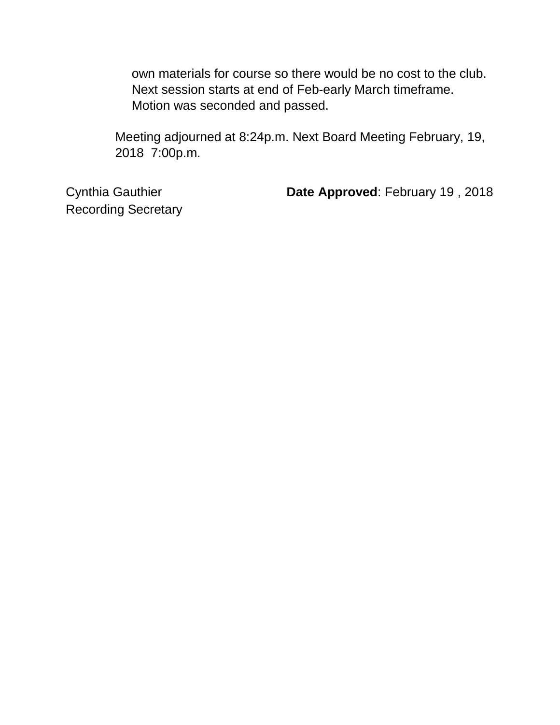own materials for course so there would be no cost to the club. Next session starts at end of Feb-early March timeframe. Motion was seconded and passed.

Meeting adjourned at 8:24p.m. Next Board Meeting February, 19, 2018 7:00p.m.

Recording Secretary

Cynthia Gauthier **Date Approved**: February 19 , 2018